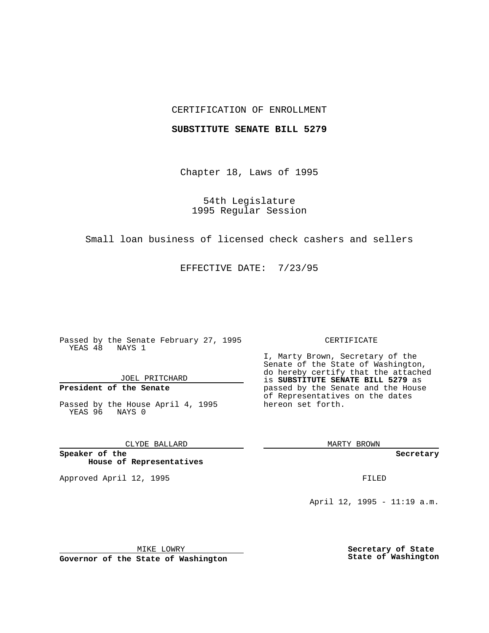## CERTIFICATION OF ENROLLMENT

## **SUBSTITUTE SENATE BILL 5279**

Chapter 18, Laws of 1995

54th Legislature 1995 Regular Session

Small loan business of licensed check cashers and sellers

EFFECTIVE DATE: 7/23/95

Passed by the Senate February 27, 1995 YEAS 48 NAYS 1

JOEL PRITCHARD

# **President of the Senate**

Passed by the House April 4, 1995 YEAS 96 NAYS 0

CLYDE BALLARD

**Speaker of the House of Representatives**

Approved April 12, 1995 FILED

#### CERTIFICATE

I, Marty Brown, Secretary of the Senate of the State of Washington, do hereby certify that the attached is **SUBSTITUTE SENATE BILL 5279** as passed by the Senate and the House of Representatives on the dates hereon set forth.

MARTY BROWN

**Secretary**

April 12, 1995 - 11:19 a.m.

MIKE LOWRY **Governor of the State of Washington** **Secretary of State State of Washington**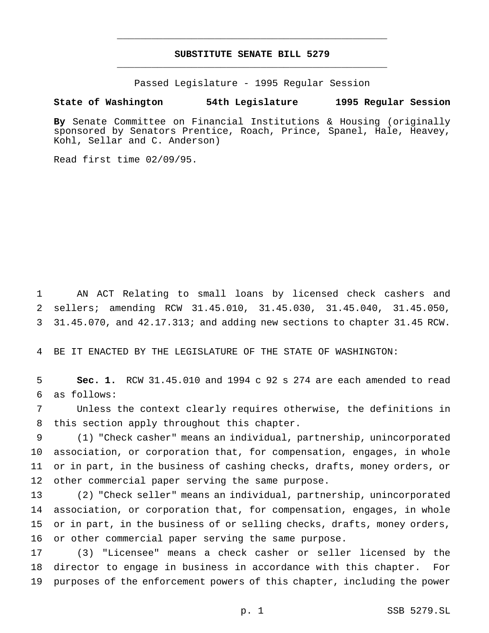## **SUBSTITUTE SENATE BILL 5279** \_\_\_\_\_\_\_\_\_\_\_\_\_\_\_\_\_\_\_\_\_\_\_\_\_\_\_\_\_\_\_\_\_\_\_\_\_\_\_\_\_\_\_\_\_\_\_

\_\_\_\_\_\_\_\_\_\_\_\_\_\_\_\_\_\_\_\_\_\_\_\_\_\_\_\_\_\_\_\_\_\_\_\_\_\_\_\_\_\_\_\_\_\_\_

Passed Legislature - 1995 Regular Session

### **State of Washington 54th Legislature 1995 Regular Session**

**By** Senate Committee on Financial Institutions & Housing (originally sponsored by Senators Prentice, Roach, Prince, Spanel, Hale, Heavey, Kohl, Sellar and C. Anderson)

Read first time 02/09/95.

 AN ACT Relating to small loans by licensed check cashers and sellers; amending RCW 31.45.010, 31.45.030, 31.45.040, 31.45.050, 31.45.070, and 42.17.313; and adding new sections to chapter 31.45 RCW.

BE IT ENACTED BY THE LEGISLATURE OF THE STATE OF WASHINGTON:

 **Sec. 1.** RCW 31.45.010 and 1994 c 92 s 274 are each amended to read as follows:

 Unless the context clearly requires otherwise, the definitions in this section apply throughout this chapter.

 (1) "Check casher" means an individual, partnership, unincorporated association, or corporation that, for compensation, engages, in whole or in part, in the business of cashing checks, drafts, money orders, or other commercial paper serving the same purpose.

 (2) "Check seller" means an individual, partnership, unincorporated association, or corporation that, for compensation, engages, in whole or in part, in the business of or selling checks, drafts, money orders, or other commercial paper serving the same purpose.

 (3) "Licensee" means a check casher or seller licensed by the director to engage in business in accordance with this chapter. For purposes of the enforcement powers of this chapter, including the power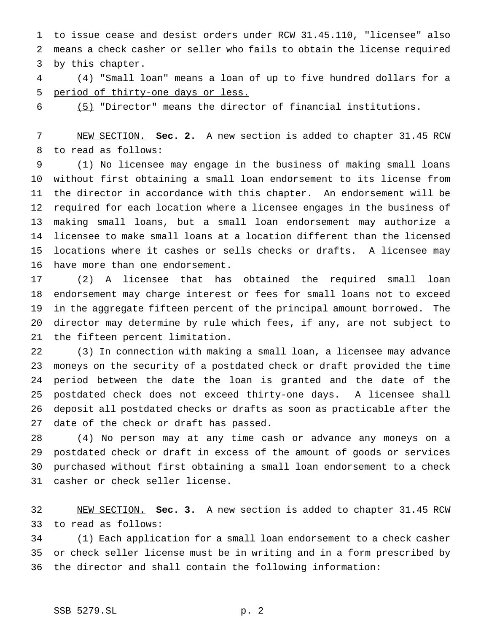to issue cease and desist orders under RCW 31.45.110, "licensee" also means a check casher or seller who fails to obtain the license required by this chapter.

 (4) "Small loan" means a loan of up to five hundred dollars for a period of thirty-one days or less.

(5) "Director" means the director of financial institutions.

 NEW SECTION. **Sec. 2.** A new section is added to chapter 31.45 RCW to read as follows:

 (1) No licensee may engage in the business of making small loans without first obtaining a small loan endorsement to its license from the director in accordance with this chapter. An endorsement will be required for each location where a licensee engages in the business of making small loans, but a small loan endorsement may authorize a licensee to make small loans at a location different than the licensed locations where it cashes or sells checks or drafts. A licensee may have more than one endorsement.

 (2) A licensee that has obtained the required small loan endorsement may charge interest or fees for small loans not to exceed in the aggregate fifteen percent of the principal amount borrowed. The director may determine by rule which fees, if any, are not subject to the fifteen percent limitation.

 (3) In connection with making a small loan, a licensee may advance moneys on the security of a postdated check or draft provided the time period between the date the loan is granted and the date of the postdated check does not exceed thirty-one days. A licensee shall deposit all postdated checks or drafts as soon as practicable after the date of the check or draft has passed.

 (4) No person may at any time cash or advance any moneys on a postdated check or draft in excess of the amount of goods or services purchased without first obtaining a small loan endorsement to a check casher or check seller license.

 NEW SECTION. **Sec. 3.** A new section is added to chapter 31.45 RCW to read as follows:

 (1) Each application for a small loan endorsement to a check casher or check seller license must be in writing and in a form prescribed by the director and shall contain the following information: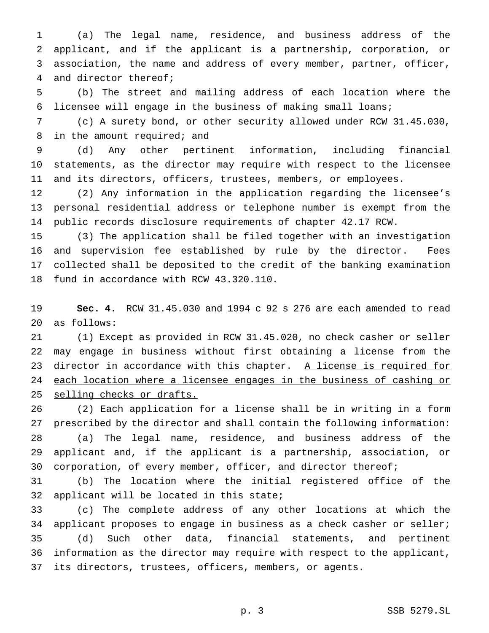(a) The legal name, residence, and business address of the applicant, and if the applicant is a partnership, corporation, or association, the name and address of every member, partner, officer, and director thereof;

 (b) The street and mailing address of each location where the licensee will engage in the business of making small loans;

 (c) A surety bond, or other security allowed under RCW 31.45.030, 8 in the amount required; and

 (d) Any other pertinent information, including financial statements, as the director may require with respect to the licensee and its directors, officers, trustees, members, or employees.

 (2) Any information in the application regarding the licensee's personal residential address or telephone number is exempt from the public records disclosure requirements of chapter 42.17 RCW.

 (3) The application shall be filed together with an investigation and supervision fee established by rule by the director. Fees collected shall be deposited to the credit of the banking examination fund in accordance with RCW 43.320.110.

 **Sec. 4.** RCW 31.45.030 and 1994 c 92 s 276 are each amended to read as follows:

 (1) Except as provided in RCW 31.45.020, no check casher or seller may engage in business without first obtaining a license from the 23 director in accordance with this chapter. A license is required for 24 each location where a licensee engages in the business of cashing or selling checks or drafts.

 (2) Each application for a license shall be in writing in a form prescribed by the director and shall contain the following information: (a) The legal name, residence, and business address of the applicant and, if the applicant is a partnership, association, or 30 corporation, of every member, officer, and director thereof;

 (b) The location where the initial registered office of the applicant will be located in this state;

 (c) The complete address of any other locations at which the applicant proposes to engage in business as a check casher or seller; (d) Such other data, financial statements, and pertinent information as the director may require with respect to the applicant, its directors, trustees, officers, members, or agents.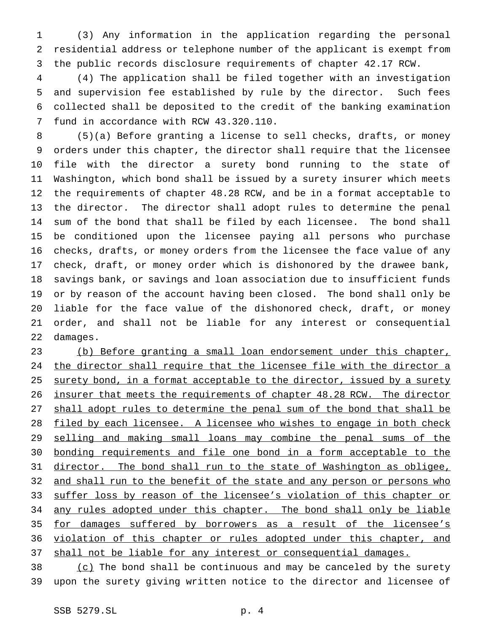(3) Any information in the application regarding the personal residential address or telephone number of the applicant is exempt from the public records disclosure requirements of chapter 42.17 RCW.

 (4) The application shall be filed together with an investigation and supervision fee established by rule by the director. Such fees collected shall be deposited to the credit of the banking examination fund in accordance with RCW 43.320.110.

 (5)(a) Before granting a license to sell checks, drafts, or money orders under this chapter, the director shall require that the licensee file with the director a surety bond running to the state of Washington, which bond shall be issued by a surety insurer which meets the requirements of chapter 48.28 RCW, and be in a format acceptable to the director. The director shall adopt rules to determine the penal sum of the bond that shall be filed by each licensee. The bond shall be conditioned upon the licensee paying all persons who purchase checks, drafts, or money orders from the licensee the face value of any check, draft, or money order which is dishonored by the drawee bank, savings bank, or savings and loan association due to insufficient funds or by reason of the account having been closed. The bond shall only be liable for the face value of the dishonored check, draft, or money order, and shall not be liable for any interest or consequential damages.

 (b) Before granting a small loan endorsement under this chapter, 24 the director shall require that the licensee file with the director a 25 surety bond, in a format acceptable to the director, issued by a surety insurer that meets the requirements of chapter 48.28 RCW. The director 27 shall adopt rules to determine the penal sum of the bond that shall be 28 filed by each licensee. A licensee who wishes to engage in both check selling and making small loans may combine the penal sums of the bonding requirements and file one bond in a form acceptable to the 31 director. The bond shall run to the state of Washington as obligee, 32 and shall run to the benefit of the state and any person or persons who 33 suffer loss by reason of the licensee's violation of this chapter or 34 any rules adopted under this chapter. The bond shall only be liable for damages suffered by borrowers as a result of the licensee's 36 violation of this chapter or rules adopted under this chapter, and 37 shall not be liable for any interest or consequential damages.

 (c) The bond shall be continuous and may be canceled by the surety upon the surety giving written notice to the director and licensee of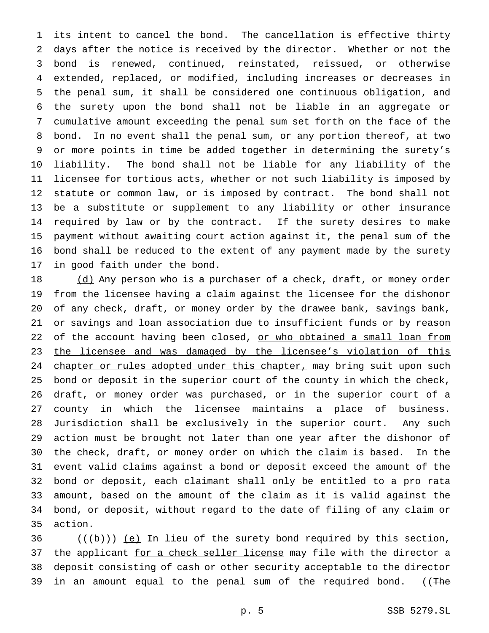its intent to cancel the bond. The cancellation is effective thirty days after the notice is received by the director. Whether or not the bond is renewed, continued, reinstated, reissued, or otherwise extended, replaced, or modified, including increases or decreases in the penal sum, it shall be considered one continuous obligation, and the surety upon the bond shall not be liable in an aggregate or cumulative amount exceeding the penal sum set forth on the face of the bond. In no event shall the penal sum, or any portion thereof, at two or more points in time be added together in determining the surety's liability. The bond shall not be liable for any liability of the licensee for tortious acts, whether or not such liability is imposed by statute or common law, or is imposed by contract. The bond shall not be a substitute or supplement to any liability or other insurance required by law or by the contract. If the surety desires to make payment without awaiting court action against it, the penal sum of the bond shall be reduced to the extent of any payment made by the surety in good faith under the bond.

18 (d) Any person who is a purchaser of a check, draft, or money order from the licensee having a claim against the licensee for the dishonor of any check, draft, or money order by the drawee bank, savings bank, or savings and loan association due to insufficient funds or by reason 22 of the account having been closed, or who obtained a small loan from 23 the licensee and was damaged by the licensee's violation of this 24 chapter or rules adopted under this chapter, may bring suit upon such bond or deposit in the superior court of the county in which the check, draft, or money order was purchased, or in the superior court of a county in which the licensee maintains a place of business. Jurisdiction shall be exclusively in the superior court. Any such action must be brought not later than one year after the dishonor of the check, draft, or money order on which the claim is based. In the event valid claims against a bond or deposit exceed the amount of the bond or deposit, each claimant shall only be entitled to a pro rata amount, based on the amount of the claim as it is valid against the bond, or deposit, without regard to the date of filing of any claim or action.

36  $((+b))$  (e) In lieu of the surety bond required by this section, 37 the applicant for a check seller license may file with the director a deposit consisting of cash or other security acceptable to the director 39 in an amount equal to the penal sum of the required bond. ((The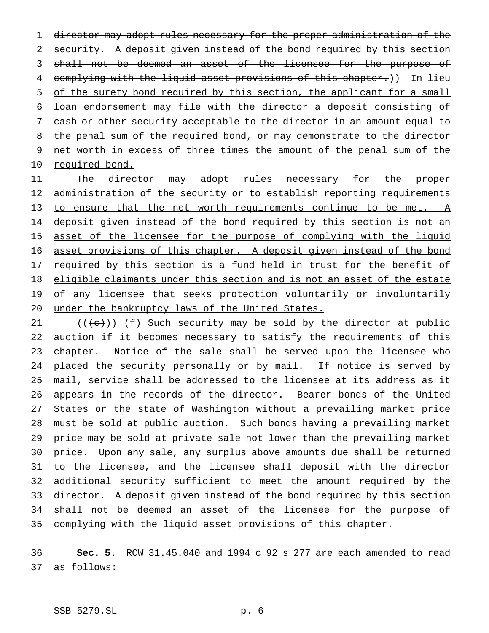director may adopt rules necessary for the proper administration of the security. A deposit given instead of the bond required by this section shall not be deemed an asset of the licensee for the purpose of 4 complying with the liquid asset provisions of this chapter.)) In lieu 5 of the surety bond required by this section, the applicant for a small loan endorsement may file with the director a deposit consisting of cash or other security acceptable to the director in an amount equal to 8 the penal sum of the required bond, or may demonstrate to the director net worth in excess of three times the amount of the penal sum of the 10 required bond.

11 The director may adopt rules necessary for the proper 12 administration of the security or to establish reporting requirements to ensure that the net worth requirements continue to be met. A 14 deposit given instead of the bond required by this section is not an 15 asset of the licensee for the purpose of complying with the liquid 16 asset provisions of this chapter. A deposit given instead of the bond 17 required by this section is a fund held in trust for the benefit of 18 eligible claimants under this section and is not an asset of the estate 19 of any licensee that seeks protection voluntarily or involuntarily under the bankruptcy laws of the United States.

21 ( $(\{e\})$ ) <u>(f)</u> Such security may be sold by the director at public auction if it becomes necessary to satisfy the requirements of this chapter. Notice of the sale shall be served upon the licensee who placed the security personally or by mail. If notice is served by mail, service shall be addressed to the licensee at its address as it appears in the records of the director. Bearer bonds of the United States or the state of Washington without a prevailing market price must be sold at public auction. Such bonds having a prevailing market price may be sold at private sale not lower than the prevailing market price. Upon any sale, any surplus above amounts due shall be returned to the licensee, and the licensee shall deposit with the director additional security sufficient to meet the amount required by the director. A deposit given instead of the bond required by this section shall not be deemed an asset of the licensee for the purpose of complying with the liquid asset provisions of this chapter.

 **Sec. 5.** RCW 31.45.040 and 1994 c 92 s 277 are each amended to read as follows: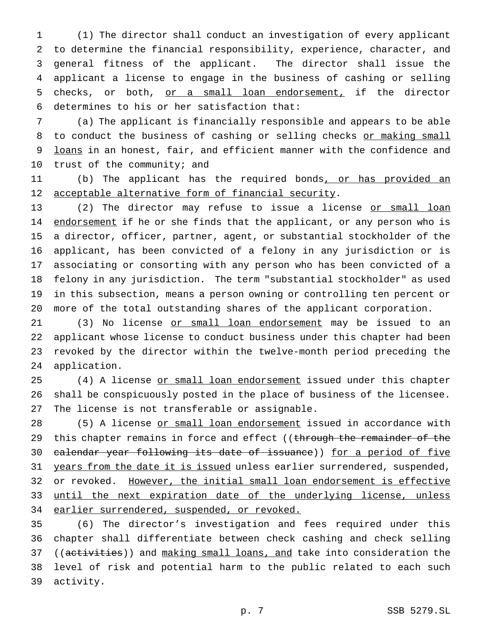(1) The director shall conduct an investigation of every applicant to determine the financial responsibility, experience, character, and general fitness of the applicant. The director shall issue the applicant a license to engage in the business of cashing or selling checks, or both, or a small loan endorsement, if the director determines to his or her satisfaction that:

7 (a) The applicant is financially responsible and appears to be able 8 to conduct the business of cashing or selling checks or making small 9 loans in an honest, fair, and efficient manner with the confidence and 10 trust of the community; and

11 (b) The applicant has the required bonds<u>, or has provided an</u> 12 acceptable alternative form of financial security.

13 (2) The director may refuse to issue a license or small loan 14 endorsement if he or she finds that the applicant, or any person who is a director, officer, partner, agent, or substantial stockholder of the applicant, has been convicted of a felony in any jurisdiction or is associating or consorting with any person who has been convicted of a felony in any jurisdiction. The term "substantial stockholder" as used in this subsection, means a person owning or controlling ten percent or more of the total outstanding shares of the applicant corporation.

21 (3) No license <u>or small loan endorsement</u> may be issued to an applicant whose license to conduct business under this chapter had been revoked by the director within the twelve-month period preceding the application.

25 (4) A license or small loan endorsement issued under this chapter 26 shall be conspicuously posted in the place of business of the licensee. 27 The license is not transferable or assignable.

28 (5) A license or small loan endorsement issued in accordance with 29 this chapter remains in force and effect ((through the remainder of the 30 calendar year following its date of issuance)) for a period of five 31 years from the date it is issued unless earlier surrendered, suspended, 32 or revoked. However, the initial small loan endorsement is effective 33 until the next expiration date of the underlying license, unless 34 earlier surrendered, suspended, or revoked.

 (6) The director's investigation and fees required under this chapter shall differentiate between check cashing and check selling 37 ((activities)) and making small loans, and take into consideration the level of risk and potential harm to the public related to each such activity.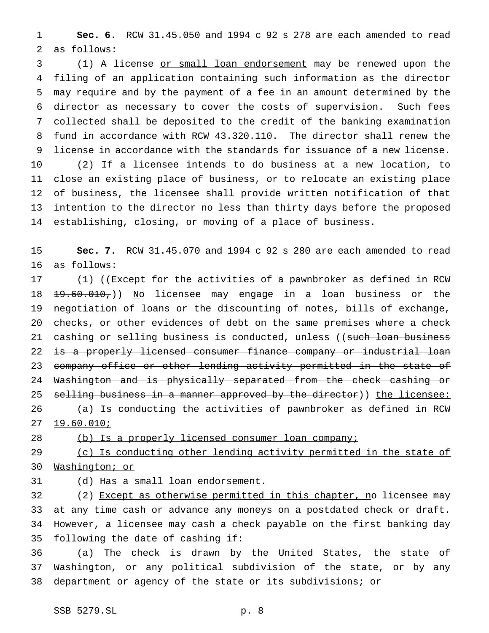**Sec. 6.** RCW 31.45.050 and 1994 c 92 s 278 are each amended to read as follows:

 (1) A license or small loan endorsement may be renewed upon the filing of an application containing such information as the director may require and by the payment of a fee in an amount determined by the director as necessary to cover the costs of supervision. Such fees collected shall be deposited to the credit of the banking examination fund in accordance with RCW 43.320.110. The director shall renew the license in accordance with the standards for issuance of a new license. (2) If a licensee intends to do business at a new location, to close an existing place of business, or to relocate an existing place of business, the licensee shall provide written notification of that intention to the director no less than thirty days before the proposed establishing, closing, or moving of a place of business.

 **Sec. 7.** RCW 31.45.070 and 1994 c 92 s 280 are each amended to read as follows:

17 (1) ((<del>Except for the activities of a pawnbroker as defined in RCW</del> 18 19.60.010,)) No licensee may engage in a loan business or the negotiation of loans or the discounting of notes, bills of exchange, checks, or other evidences of debt on the same premises where a check 21 cashing or selling business is conducted, unless ((such loan business 22 <del>is a properly licensed consumer finance company or industrial loan</del> 23 company office or other lending activity permitted in the state of Washington and is physically separated from the check cashing or 25 selling business in a manner approved by the director)) the licensee: (a) Is conducting the activities of pawnbroker as defined in RCW

19.60.010;

(b) Is a properly licensed consumer loan company;

29 (c) Is conducting other lending activity permitted in the state of Washington; or

31 (d) Has a small loan endorsement.

32 (2) Except as otherwise permitted in this chapter, no licensee may at any time cash or advance any moneys on a postdated check or draft. However, a licensee may cash a check payable on the first banking day following the date of cashing if:

 (a) The check is drawn by the United States, the state of Washington, or any political subdivision of the state, or by any department or agency of the state or its subdivisions; or